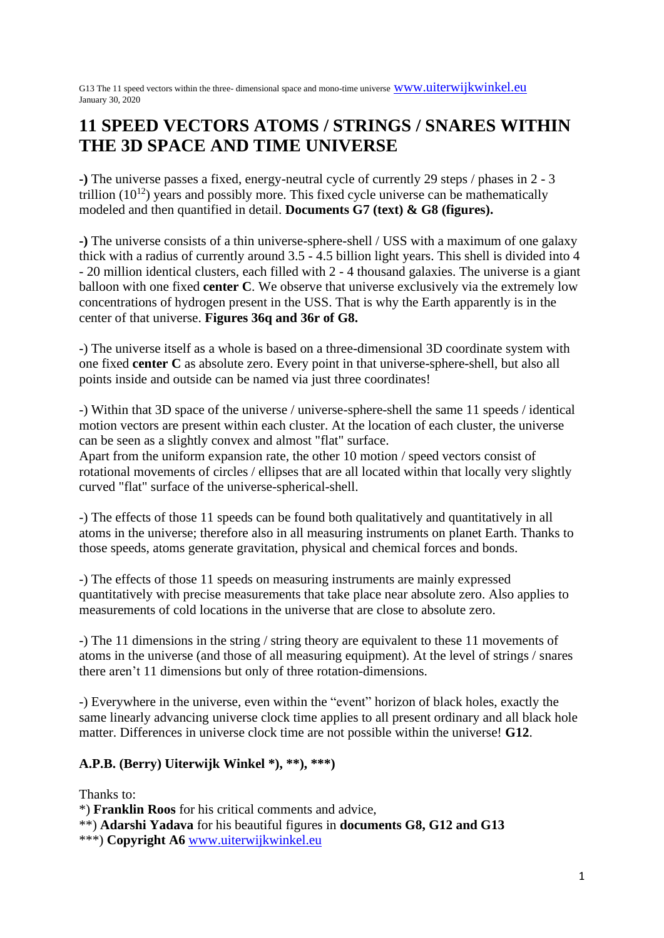G13 The 11 speed vectors within the three- dimensional space and mono-time universe [www.uiterwijkwinkel.eu](http://www.uiterwijkwinkel.eu/) January 30, 2020

# **11 SPEED VECTORS ATOMS / STRINGS / SNARES WITHIN THE 3D SPACE AND TIME UNIVERSE**

**-)** The universe passes a fixed, energy-neutral cycle of currently 29 steps / phases in 2 - 3 trillion  $(10^{12})$  years and possibly more. This fixed cycle universe can be mathematically modeled and then quantified in detail. **Documents G7 (text) & G8 (figures).**

**-)** The universe consists of a thin universe-sphere-shell / USS with a maximum of one galaxy thick with a radius of currently around 3.5 - 4.5 billion light years. This shell is divided into 4 - 20 million identical clusters, each filled with 2 - 4 thousand galaxies. The universe is a giant balloon with one fixed **center C**. We observe that universe exclusively via the extremely low concentrations of hydrogen present in the USS. That is why the Earth apparently is in the center of that universe. **Figures 36q and 36r of G8.**

-) The universe itself as a whole is based on a three-dimensional 3D coordinate system with one fixed **center C** as absolute zero. Every point in that universe-sphere-shell, but also all points inside and outside can be named via just three coordinates!

-) Within that 3D space of the universe / universe-sphere-shell the same 11 speeds / identical motion vectors are present within each cluster. At the location of each cluster, the universe can be seen as a slightly convex and almost "flat" surface.

Apart from the uniform expansion rate, the other 10 motion / speed vectors consist of rotational movements of circles / ellipses that are all located within that locally very slightly curved "flat" surface of the universe-spherical-shell.

-) The effects of those 11 speeds can be found both qualitatively and quantitatively in all atoms in the universe; therefore also in all measuring instruments on planet Earth. Thanks to those speeds, atoms generate gravitation, physical and chemical forces and bonds.

-) The effects of those 11 speeds on measuring instruments are mainly expressed quantitatively with precise measurements that take place near absolute zero. Also applies to measurements of cold locations in the universe that are close to absolute zero.

-) The 11 dimensions in the string / string theory are equivalent to these 11 movements of atoms in the universe (and those of all measuring equipment). At the level of strings / snares there aren't 11 dimensions but only of three rotation-dimensions.

-) Everywhere in the universe, even within the "event" horizon of black holes, exactly the same linearly advancing universe clock time applies to all present ordinary and all black hole matter. Differences in universe clock time are not possible within the universe! **G12**.

# **A.P.B. (Berry) Uiterwijk Winkel \*), \*\*), \*\*\*)**

Thanks to:

\*) **Franklin Roos** for his critical comments and advice,

\*\*) **Adarshi Yadava** for his beautiful figures in **documents G8, G12 and G13**

\*\*\*) **Copyright A6** [www.uiterwijkwinkel.eu](http://www.uiterwijkwinkel.eu/)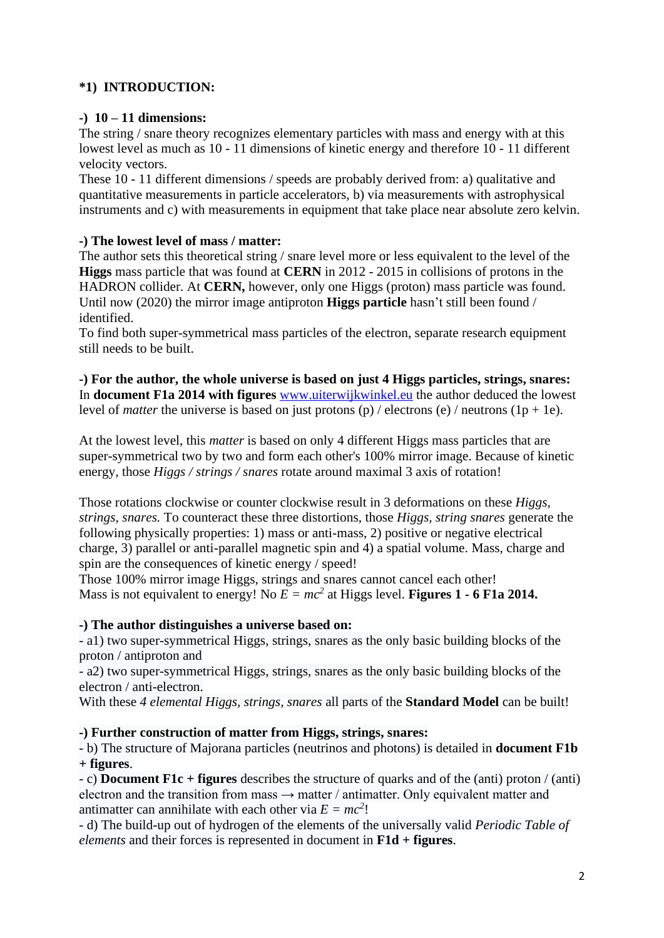# **\*1) INTRODUCTION:**

### **-) 10 – 11 dimensions:**

The string / snare theory recognizes elementary particles with mass and energy with at this lowest level as much as 10 - 11 dimensions of kinetic energy and therefore 10 - 11 different velocity vectors.

These 10 - 11 different dimensions / speeds are probably derived from: a) qualitative and quantitative measurements in particle accelerators, b) via measurements with astrophysical instruments and c) with measurements in equipment that take place near absolute zero kelvin.

### **-) The lowest level of mass / matter:**

The author sets this theoretical string / snare level more or less equivalent to the level of the **Higgs** mass particle that was found at **CERN** in 2012 - 2015 in collisions of protons in the HADRON collider. At **CERN,** however, only one Higgs (proton) mass particle was found. Until now (2020) the mirror image antiproton **Higgs particle** hasn't still been found / identified.

To find both super-symmetrical mass particles of the electron, separate research equipment still needs to be built.

**-) For the author, the whole universe is based on just 4 Higgs particles, strings, snares:** In **document F1a 2014 with figures** [www.uiterwijkwinkel.eu](http://www.uiterwijkwinkel.eu/) the author deduced the lowest level of *matter* the universe is based on just protons (p) / electrons (e) / neutrons (1p + 1e).

At the lowest level, this *matter* is based on only 4 different Higgs mass particles that are super-symmetrical two by two and form each other's 100% mirror image. Because of kinetic energy, those *Higgs / strings / snares* rotate around maximal 3 axis of rotation!

Those rotations clockwise or counter clockwise result in 3 deformations on these *Higgs, strings, snares.* To counteract these three distortions, those *Higgs, string snares* generate the following physically properties: 1) mass or anti-mass, 2) positive or negative electrical charge, 3) parallel or anti-parallel magnetic spin and 4) a spatial volume. Mass, charge and spin are the consequences of kinetic energy / speed!

Those 100% mirror image Higgs, strings and snares cannot cancel each other! Mass is not equivalent to energy! No  $E = mc^2$  at Higgs level. **Figures 1 - 6 F1a 2014.** 

#### **-) The author distinguishes a universe based on:**

- a1) two super-symmetrical Higgs, strings, snares as the only basic building blocks of the proton / antiproton and

- a2) two super-symmetrical Higgs, strings, snares as the only basic building blocks of the electron / anti-electron.

With these *4 elemental Higgs, strings, snares* all parts of the **Standard Model** can be built!

#### **-) Further construction of matter from Higgs, strings, snares:**

- b) The structure of Majorana particles (neutrinos and photons) is detailed in **document F1b + figures**.

- c) **Document F1c + figures** describes the structure of quarks and of the (anti) proton / (anti) electron and the transition from mass  $\rightarrow$  matter / antimatter. Only equivalent matter and antimatter can annihilate with each other via  $E = mc^2$ !

- d) The build-up out of hydrogen of the elements of the universally valid *Periodic Table of elements* and their forces is represented in document in **F1d + figures**.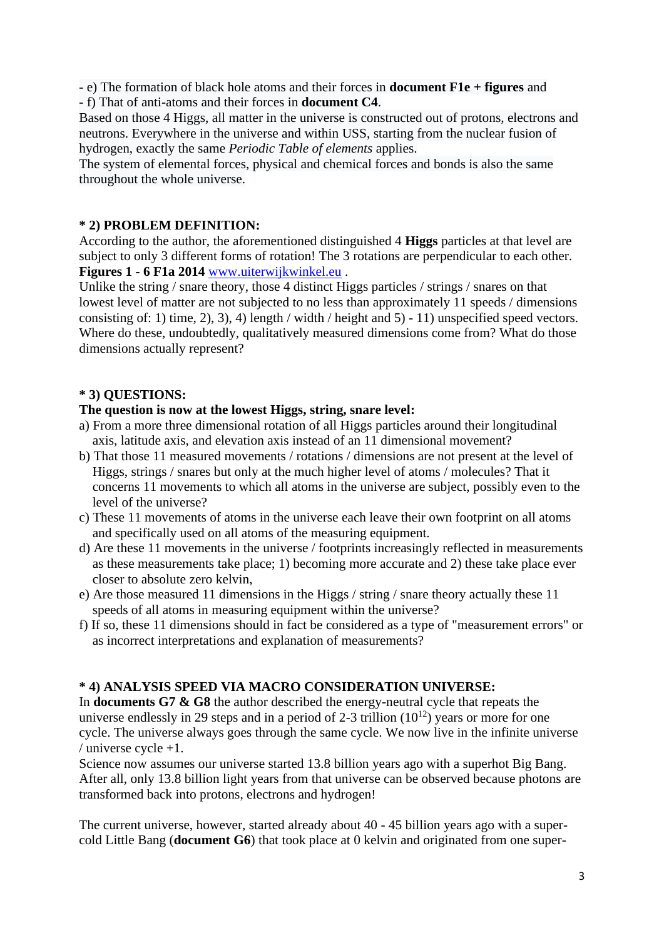- e) The formation of black hole atoms and their forces in **document F1e + figures** and - f) That of anti-atoms and their forces in **document C4**.

Based on those 4 Higgs, all matter in the universe is constructed out of protons, electrons and neutrons. Everywhere in the universe and within USS, starting from the nuclear fusion of hydrogen, exactly the same *Periodic Table of elements* applies.

The system of elemental forces, physical and chemical forces and bonds is also the same throughout the whole universe.

#### **\* 2) PROBLEM DEFINITION:**

According to the author, the aforementioned distinguished 4 **Higgs** particles at that level are subject to only 3 different forms of rotation! The 3 rotations are perpendicular to each other. **Figures 1 - 6 F1a 2014** [www.uiterwijkwinkel.eu](http://www.uiterwijkwinkel.eu/) .

Unlike the string / snare theory, those 4 distinct Higgs particles / strings / snares on that lowest level of matter are not subjected to no less than approximately 11 speeds / dimensions consisting of: 1) time, 2), 3), 4) length / width / height and 5) - 11) unspecified speed vectors. Where do these, undoubtedly, qualitatively measured dimensions come from? What do those dimensions actually represent?

### **\* 3) QUESTIONS:**

#### **The question is now at the lowest Higgs, string, snare level:**

- a) From a more three dimensional rotation of all Higgs particles around their longitudinal axis, latitude axis, and elevation axis instead of an 11 dimensional movement?
- b) That those 11 measured movements / rotations / dimensions are not present at the level of Higgs, strings / snares but only at the much higher level of atoms / molecules? That it concerns 11 movements to which all atoms in the universe are subject, possibly even to the level of the universe?
- c) These 11 movements of atoms in the universe each leave their own footprint on all atoms and specifically used on all atoms of the measuring equipment.
- d) Are these 11 movements in the universe / footprints increasingly reflected in measurements as these measurements take place; 1) becoming more accurate and 2) these take place ever closer to absolute zero kelvin,
- e) Are those measured 11 dimensions in the Higgs / string / snare theory actually these 11 speeds of all atoms in measuring equipment within the universe?
- f) If so, these 11 dimensions should in fact be considered as a type of "measurement errors" or as incorrect interpretations and explanation of measurements?

# **\* 4) ANALYSIS SPEED VIA MACRO CONSIDERATION UNIVERSE:**

In **documents G7 & G8** the author described the energy-neutral cycle that repeats the universe endlessly in 29 steps and in a period of 2-3 trillion  $(10^{12})$  years or more for one cycle. The universe always goes through the same cycle. We now live in the infinite universe / universe cycle +1.

Science now assumes our universe started 13.8 billion years ago with a superhot Big Bang. After all, only 13.8 billion light years from that universe can be observed because photons are transformed back into protons, electrons and hydrogen!

The current universe, however, started already about 40 - 45 billion years ago with a supercold Little Bang (**document G6**) that took place at 0 kelvin and originated from one super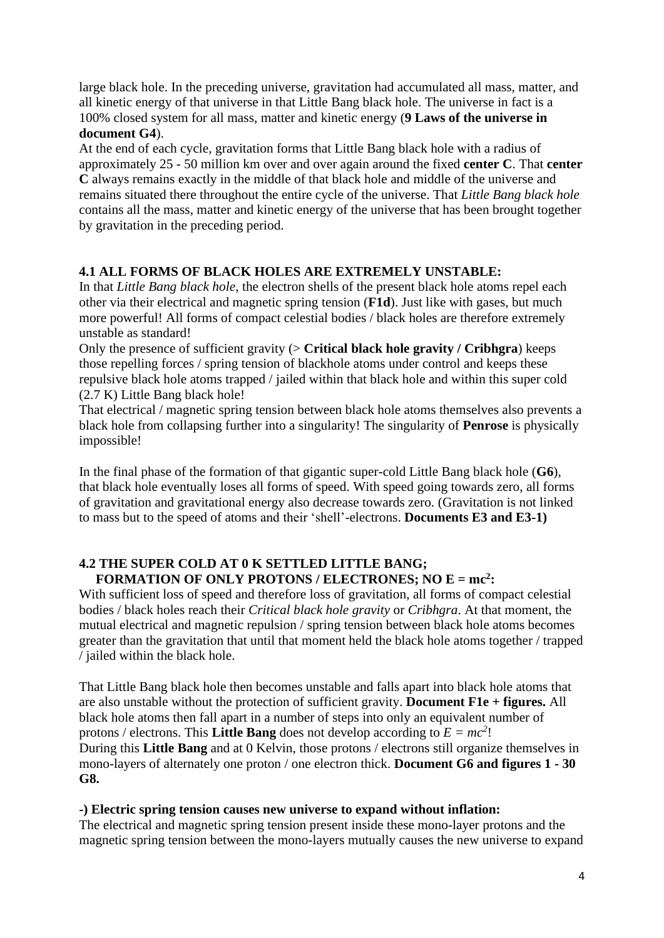large black hole. In the preceding universe, gravitation had accumulated all mass, matter, and all kinetic energy of that universe in that Little Bang black hole. The universe in fact is a 100% closed system for all mass, matter and kinetic energy (**9 Laws of the universe in document G4**).

At the end of each cycle, gravitation forms that Little Bang black hole with a radius of approximately 25 - 50 million km over and over again around the fixed **center C**. That **center C** always remains exactly in the middle of that black hole and middle of the universe and remains situated there throughout the entire cycle of the universe. That *Little Bang black hole*  contains all the mass, matter and kinetic energy of the universe that has been brought together by gravitation in the preceding period.

# **4.1 ALL FORMS OF BLACK HOLES ARE EXTREMELY UNSTABLE:**

In that *Little Bang black hole*, the electron shells of the present black hole atoms repel each other via their electrical and magnetic spring tension (**F1d**). Just like with gases, but much more powerful! All forms of compact celestial bodies / black holes are therefore extremely unstable as standard!

Only the presence of sufficient gravity (> **Critical black hole gravity / Cribhgra**) keeps those repelling forces / spring tension of blackhole atoms under control and keeps these repulsive black hole atoms trapped / jailed within that black hole and within this super cold (2.7 K) Little Bang black hole!

That electrical / magnetic spring tension between black hole atoms themselves also prevents a black hole from collapsing further into a singularity! The singularity of **Penrose** is physically impossible!

In the final phase of the formation of that gigantic super-cold Little Bang black hole (**G6**), that black hole eventually loses all forms of speed. With speed going towards zero, all forms of gravitation and gravitational energy also decrease towards zero. (Gravitation is not linked to mass but to the speed of atoms and their 'shell'-electrons. **Documents E3 and E3-1)**

# **4.2 THE SUPER COLD AT 0 K SETTLED LITTLE BANG; FORMATION OF ONLY PROTONS / ELECTRONES; NO E = mc<sup>2</sup> :**

With sufficient loss of speed and therefore loss of gravitation, all forms of compact celestial bodies / black holes reach their *Critical black hole gravity* or *Cribhgra*. At that moment, the mutual electrical and magnetic repulsion / spring tension between black hole atoms becomes greater than the gravitation that until that moment held the black hole atoms together / trapped / jailed within the black hole.

That Little Bang black hole then becomes unstable and falls apart into black hole atoms that are also unstable without the protection of sufficient gravity. **Document F1e + figures.** All black hole atoms then fall apart in a number of steps into only an equivalent number of protons / electrons. This **Little Bang** does not develop according to  $E = mc^2$ ! During this **Little Bang** and at 0 Kelvin, those protons / electrons still organize themselves in mono-layers of alternately one proton / one electron thick. **Document G6 and figures 1 - 30 G8.**

# **-) Electric spring tension causes new universe to expand without inflation:**

The electrical and magnetic spring tension present inside these mono-layer protons and the magnetic spring tension between the mono-layers mutually causes the new universe to expand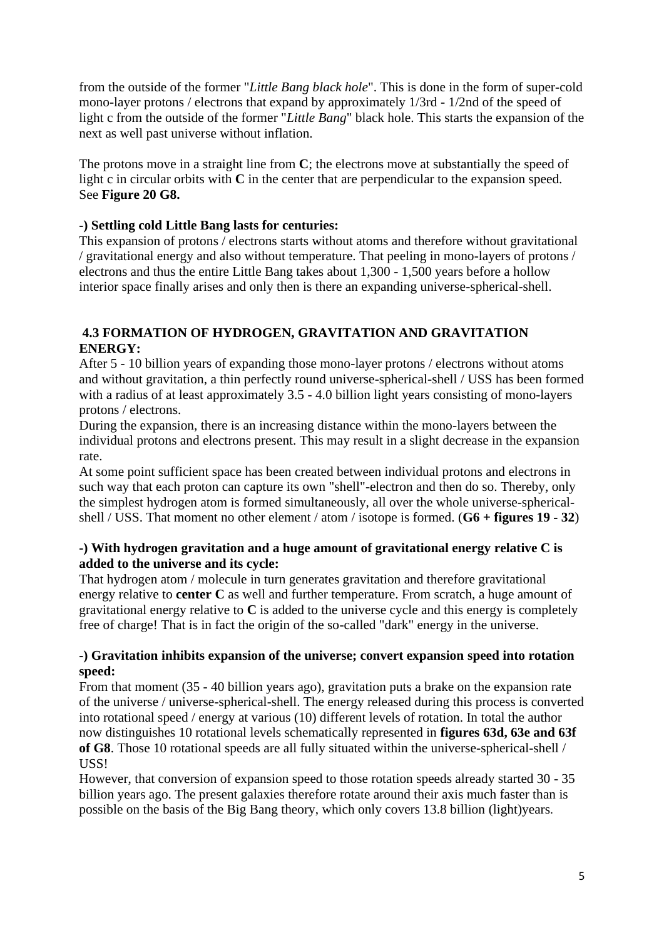from the outside of the former "*Little Bang black hole*". This is done in the form of super-cold mono-layer protons / electrons that expand by approximately 1/3rd - 1/2nd of the speed of light c from the outside of the former "*Little Bang*" black hole. This starts the expansion of the next as well past universe without inflation.

The protons move in a straight line from **C**; the electrons move at substantially the speed of light c in circular orbits with **C** in the center that are perpendicular to the expansion speed. See **Figure 20 G8.**

### **-) Settling cold Little Bang lasts for centuries:**

This expansion of protons / electrons starts without atoms and therefore without gravitational / gravitational energy and also without temperature. That peeling in mono-layers of protons / electrons and thus the entire Little Bang takes about 1,300 - 1,500 years before a hollow interior space finally arises and only then is there an expanding universe-spherical-shell.

# **4.3 FORMATION OF HYDROGEN, GRAVITATION AND GRAVITATION ENERGY:**

After 5 - 10 billion years of expanding those mono-layer protons / electrons without atoms and without gravitation, a thin perfectly round universe-spherical-shell / USS has been formed with a radius of at least approximately 3.5 - 4.0 billion light years consisting of mono-layers protons / electrons.

During the expansion, there is an increasing distance within the mono-layers between the individual protons and electrons present. This may result in a slight decrease in the expansion rate.

At some point sufficient space has been created between individual protons and electrons in such way that each proton can capture its own "shell"-electron and then do so. Thereby, only the simplest hydrogen atom is formed simultaneously, all over the whole universe-sphericalshell / USS. That moment no other element / atom / isotope is formed. (**G6 + figures 19 - 32**)

### **-) With hydrogen gravitation and a huge amount of gravitational energy relative C is added to the universe and its cycle:**

That hydrogen atom / molecule in turn generates gravitation and therefore gravitational energy relative to **center C** as well and further temperature. From scratch, a huge amount of gravitational energy relative to **C** is added to the universe cycle and this energy is completely free of charge! That is in fact the origin of the so-called "dark" energy in the universe.

### **-) Gravitation inhibits expansion of the universe; convert expansion speed into rotation speed:**

From that moment (35 - 40 billion years ago), gravitation puts a brake on the expansion rate of the universe / universe-spherical-shell. The energy released during this process is converted into rotational speed / energy at various (10) different levels of rotation. In total the author now distinguishes 10 rotational levels schematically represented in **figures 63d, 63e and 63f of G8**. Those 10 rotational speeds are all fully situated within the universe-spherical-shell / USS!

However, that conversion of expansion speed to those rotation speeds already started 30 - 35 billion years ago. The present galaxies therefore rotate around their axis much faster than is possible on the basis of the Big Bang theory, which only covers 13.8 billion (light)years.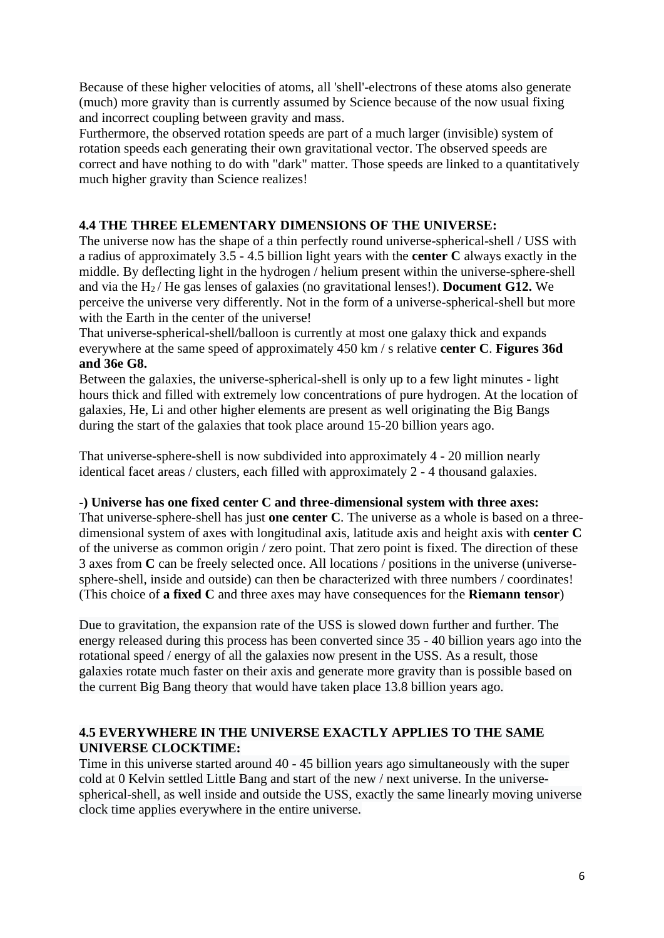Because of these higher velocities of atoms, all 'shell'-electrons of these atoms also generate (much) more gravity than is currently assumed by Science because of the now usual fixing and incorrect coupling between gravity and mass.

Furthermore, the observed rotation speeds are part of a much larger (invisible) system of rotation speeds each generating their own gravitational vector. The observed speeds are correct and have nothing to do with "dark" matter. Those speeds are linked to a quantitatively much higher gravity than Science realizes!

# **4.4 THE THREE ELEMENTARY DIMENSIONS OF THE UNIVERSE:**

The universe now has the shape of a thin perfectly round universe-spherical-shell / USS with a radius of approximately 3.5 - 4.5 billion light years with the **center C** always exactly in the middle. By deflecting light in the hydrogen / helium present within the universe-sphere-shell and via the H2 / He gas lenses of galaxies (no gravitational lenses!). **Document G12.** We perceive the universe very differently. Not in the form of a universe-spherical-shell but more with the Earth in the center of the universe!

That universe-spherical-shell/balloon is currently at most one galaxy thick and expands everywhere at the same speed of approximately 450 km / s relative **center C**. **Figures 36d and 36e G8.**

Between the galaxies, the universe-spherical-shell is only up to a few light minutes - light hours thick and filled with extremely low concentrations of pure hydrogen. At the location of galaxies, He, Li and other higher elements are present as well originating the Big Bangs during the start of the galaxies that took place around 15-20 billion years ago.

That universe-sphere-shell is now subdivided into approximately 4 - 20 million nearly identical facet areas / clusters, each filled with approximately 2 - 4 thousand galaxies.

# **-) Universe has one fixed center C and three-dimensional system with three axes:**

That universe-sphere-shell has just **one center C**. The universe as a whole is based on a threedimensional system of axes with longitudinal axis, latitude axis and height axis with **center C** of the universe as common origin / zero point. That zero point is fixed. The direction of these 3 axes from **C** can be freely selected once. All locations / positions in the universe (universesphere-shell, inside and outside) can then be characterized with three numbers / coordinates! (This choice of **a fixed C** and three axes may have consequences for the **Riemann tensor**)

Due to gravitation, the expansion rate of the USS is slowed down further and further. The energy released during this process has been converted since 35 - 40 billion years ago into the rotational speed / energy of all the galaxies now present in the USS. As a result, those galaxies rotate much faster on their axis and generate more gravity than is possible based on the current Big Bang theory that would have taken place 13.8 billion years ago.

# **4.5 EVERYWHERE IN THE UNIVERSE EXACTLY APPLIES TO THE SAME UNIVERSE CLOCKTIME:**

Time in this universe started around 40 - 45 billion years ago simultaneously with the super cold at 0 Kelvin settled Little Bang and start of the new / next universe. In the universespherical-shell, as well inside and outside the USS, exactly the same linearly moving universe clock time applies everywhere in the entire universe.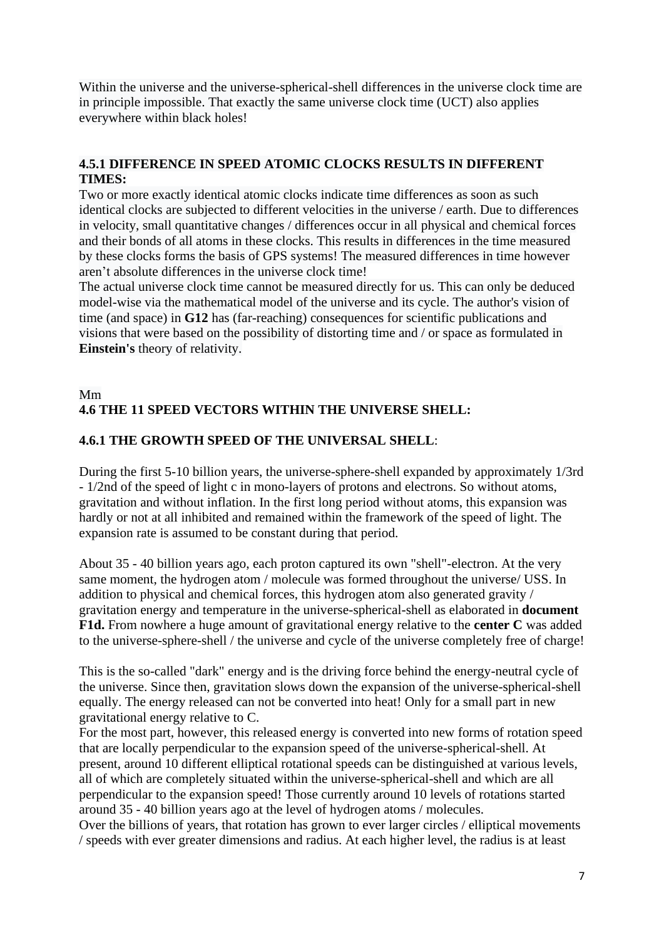Within the universe and the universe-spherical-shell differences in the universe clock time are in principle impossible. That exactly the same universe clock time (UCT) also applies everywhere within black holes!

# **4.5.1 DIFFERENCE IN SPEED ATOMIC CLOCKS RESULTS IN DIFFERENT TIMES:**

Two or more exactly identical atomic clocks indicate time differences as soon as such identical clocks are subjected to different velocities in the universe / earth. Due to differences in velocity, small quantitative changes / differences occur in all physical and chemical forces and their bonds of all atoms in these clocks. This results in differences in the time measured by these clocks forms the basis of GPS systems! The measured differences in time however aren't absolute differences in the universe clock time!

The actual universe clock time cannot be measured directly for us. This can only be deduced model-wise via the mathematical model of the universe and its cycle. The author's vision of time (and space) in **G12** has (far-reaching) consequences for scientific publications and visions that were based on the possibility of distorting time and / or space as formulated in **Einstein's** theory of relativity.

# Mm **4.6 THE 11 SPEED VECTORS WITHIN THE UNIVERSE SHELL:**

# **4.6.1 THE GROWTH SPEED OF THE UNIVERSAL SHELL**:

During the first 5-10 billion years, the universe-sphere-shell expanded by approximately 1/3rd - 1/2nd of the speed of light c in mono-layers of protons and electrons. So without atoms, gravitation and without inflation. In the first long period without atoms, this expansion was hardly or not at all inhibited and remained within the framework of the speed of light. The expansion rate is assumed to be constant during that period.

About 35 - 40 billion years ago, each proton captured its own "shell"-electron. At the very same moment, the hydrogen atom / molecule was formed throughout the universe/ USS. In addition to physical and chemical forces, this hydrogen atom also generated gravity / gravitation energy and temperature in the universe-spherical-shell as elaborated in **document F1d.** From nowhere a huge amount of gravitational energy relative to the **center C** was added to the universe-sphere-shell / the universe and cycle of the universe completely free of charge!

This is the so-called "dark" energy and is the driving force behind the energy-neutral cycle of the universe. Since then, gravitation slows down the expansion of the universe-spherical-shell equally. The energy released can not be converted into heat! Only for a small part in new gravitational energy relative to C.

For the most part, however, this released energy is converted into new forms of rotation speed that are locally perpendicular to the expansion speed of the universe-spherical-shell. At present, around 10 different elliptical rotational speeds can be distinguished at various levels, all of which are completely situated within the universe-spherical-shell and which are all perpendicular to the expansion speed! Those currently around 10 levels of rotations started around 35 - 40 billion years ago at the level of hydrogen atoms / molecules.

Over the billions of years, that rotation has grown to ever larger circles / elliptical movements / speeds with ever greater dimensions and radius. At each higher level, the radius is at least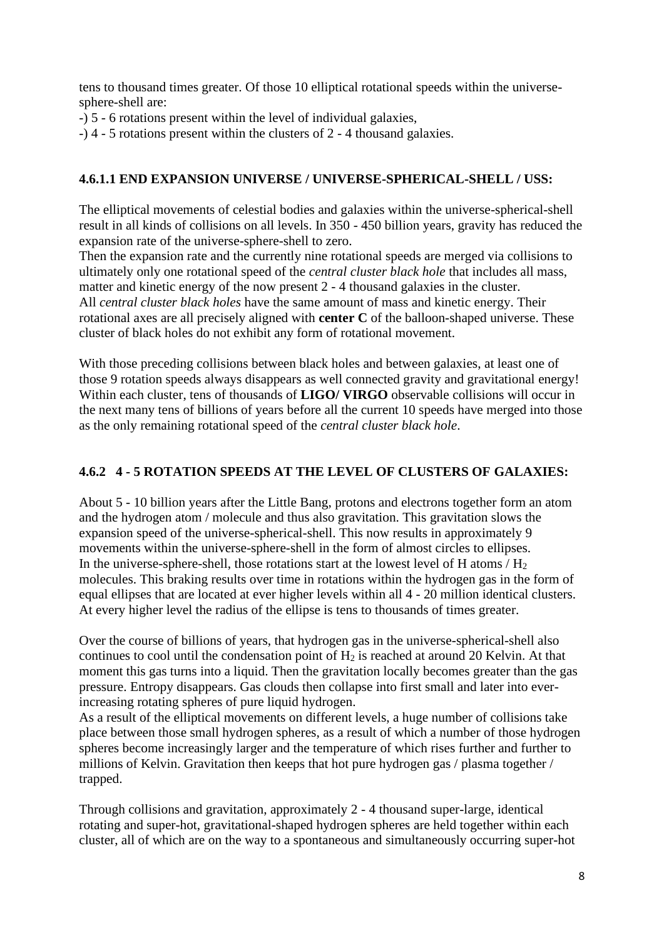tens to thousand times greater. Of those 10 elliptical rotational speeds within the universesphere-shell are:

- -) 5 6 rotations present within the level of individual galaxies,
- -) 4 5 rotations present within the clusters of 2 4 thousand galaxies.

# **4.6.1.1 END EXPANSION UNIVERSE / UNIVERSE-SPHERICAL-SHELL / USS:**

The elliptical movements of celestial bodies and galaxies within the universe-spherical-shell result in all kinds of collisions on all levels. In 350 - 450 billion years, gravity has reduced the expansion rate of the universe-sphere-shell to zero.

Then the expansion rate and the currently nine rotational speeds are merged via collisions to ultimately only one rotational speed of the *central cluster black hole* that includes all mass, matter and kinetic energy of the now present 2 - 4 thousand galaxies in the cluster. All *central cluster black holes* have the same amount of mass and kinetic energy. Their rotational axes are all precisely aligned with **center C** of the balloon-shaped universe. These cluster of black holes do not exhibit any form of rotational movement.

With those preceding collisions between black holes and between galaxies, at least one of those 9 rotation speeds always disappears as well connected gravity and gravitational energy! Within each cluster, tens of thousands of **LIGO/ VIRGO** observable collisions will occur in the next many tens of billions of years before all the current 10 speeds have merged into those as the only remaining rotational speed of the *central cluster black hole*.

# **4.6.2 4 - 5 ROTATION SPEEDS AT THE LEVEL OF CLUSTERS OF GALAXIES:**

About 5 - 10 billion years after the Little Bang, protons and electrons together form an atom and the hydrogen atom / molecule and thus also gravitation. This gravitation slows the expansion speed of the universe-spherical-shell. This now results in approximately 9 movements within the universe-sphere-shell in the form of almost circles to ellipses. In the universe-sphere-shell, those rotations start at the lowest level of H atoms  $/H<sub>2</sub>$ molecules. This braking results over time in rotations within the hydrogen gas in the form of equal ellipses that are located at ever higher levels within all 4 - 20 million identical clusters. At every higher level the radius of the ellipse is tens to thousands of times greater.

Over the course of billions of years, that hydrogen gas in the universe-spherical-shell also continues to cool until the condensation point of  $H_2$  is reached at around 20 Kelvin. At that moment this gas turns into a liquid. Then the gravitation locally becomes greater than the gas pressure. Entropy disappears. Gas clouds then collapse into first small and later into everincreasing rotating spheres of pure liquid hydrogen.

As a result of the elliptical movements on different levels, a huge number of collisions take place between those small hydrogen spheres, as a result of which a number of those hydrogen spheres become increasingly larger and the temperature of which rises further and further to millions of Kelvin. Gravitation then keeps that hot pure hydrogen gas / plasma together / trapped.

Through collisions and gravitation, approximately 2 - 4 thousand super-large, identical rotating and super-hot, gravitational-shaped hydrogen spheres are held together within each cluster, all of which are on the way to a spontaneous and simultaneously occurring super-hot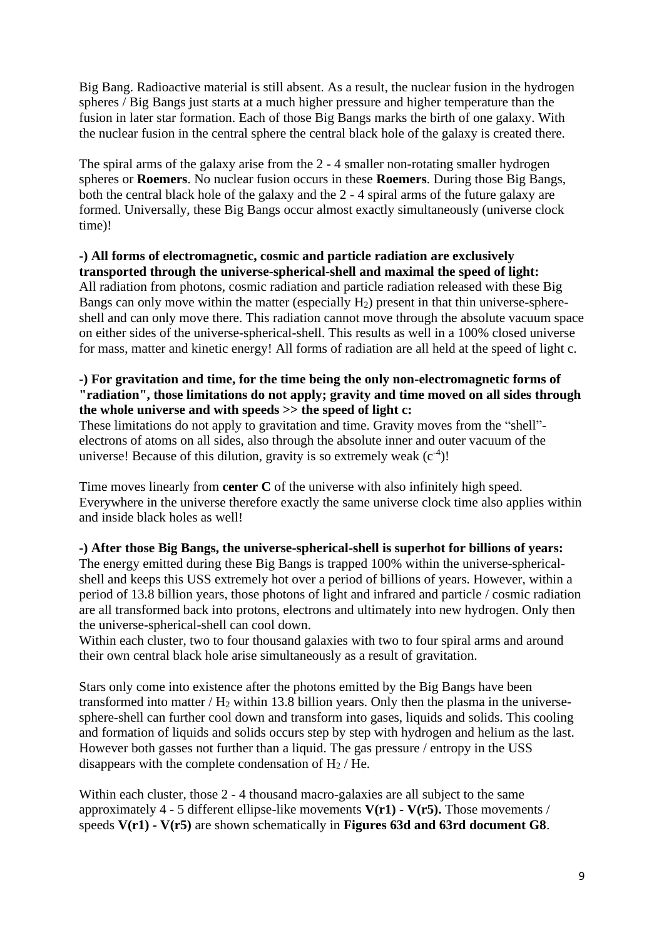Big Bang. Radioactive material is still absent. As a result, the nuclear fusion in the hydrogen spheres / Big Bangs just starts at a much higher pressure and higher temperature than the fusion in later star formation. Each of those Big Bangs marks the birth of one galaxy. With the nuclear fusion in the central sphere the central black hole of the galaxy is created there.

The spiral arms of the galaxy arise from the 2 - 4 smaller non-rotating smaller hydrogen spheres or **Roemers**. No nuclear fusion occurs in these **Roemers**. During those Big Bangs, both the central black hole of the galaxy and the 2 - 4 spiral arms of the future galaxy are formed. Universally, these Big Bangs occur almost exactly simultaneously (universe clock time)!

#### **-) All forms of electromagnetic, cosmic and particle radiation are exclusively transported through the universe-spherical-shell and maximal the speed of light:**

All radiation from photons, cosmic radiation and particle radiation released with these Big Bangs can only move within the matter (especially  $H_2$ ) present in that thin universe-sphereshell and can only move there. This radiation cannot move through the absolute vacuum space on either sides of the universe-spherical-shell. This results as well in a 100% closed universe for mass, matter and kinetic energy! All forms of radiation are all held at the speed of light c.

# **-) For gravitation and time, for the time being the only non-electromagnetic forms of "radiation", those limitations do not apply; gravity and time moved on all sides through the whole universe and with speeds >> the speed of light c:**

These limitations do not apply to gravitation and time. Gravity moves from the "shell" electrons of atoms on all sides, also through the absolute inner and outer vacuum of the universe! Because of this dilution, gravity is so extremely weak  $(c<sup>-4</sup>)!$ 

Time moves linearly from **center C** of the universe with also infinitely high speed. Everywhere in the universe therefore exactly the same universe clock time also applies within and inside black holes as well!

### **-) After those Big Bangs, the universe-spherical-shell is superhot for billions of years:** The energy emitted during these Big Bangs is trapped 100% within the universe-sphericalshell and keeps this USS extremely hot over a period of billions of years. However, within a period of 13.8 billion years, those photons of light and infrared and particle / cosmic radiation are all transformed back into protons, electrons and ultimately into new hydrogen. Only then the universe-spherical-shell can cool down.

Within each cluster, two to four thousand galaxies with two to four spiral arms and around their own central black hole arise simultaneously as a result of gravitation.

Stars only come into existence after the photons emitted by the Big Bangs have been transformed into matter  $/H<sub>2</sub>$  within 13.8 billion years. Only then the plasma in the universesphere-shell can further cool down and transform into gases, liquids and solids. This cooling and formation of liquids and solids occurs step by step with hydrogen and helium as the last. However both gasses not further than a liquid. The gas pressure / entropy in the USS disappears with the complete condensation of  $H_2$  / He.

Within each cluster, those 2 - 4 thousand macro-galaxies are all subject to the same approximately 4 - 5 different ellipse-like movements **V(r1) - V(r5).** Those movements / speeds **V(r1) - V(r5)** are shown schematically in **Figures 63d and 63rd document G8**.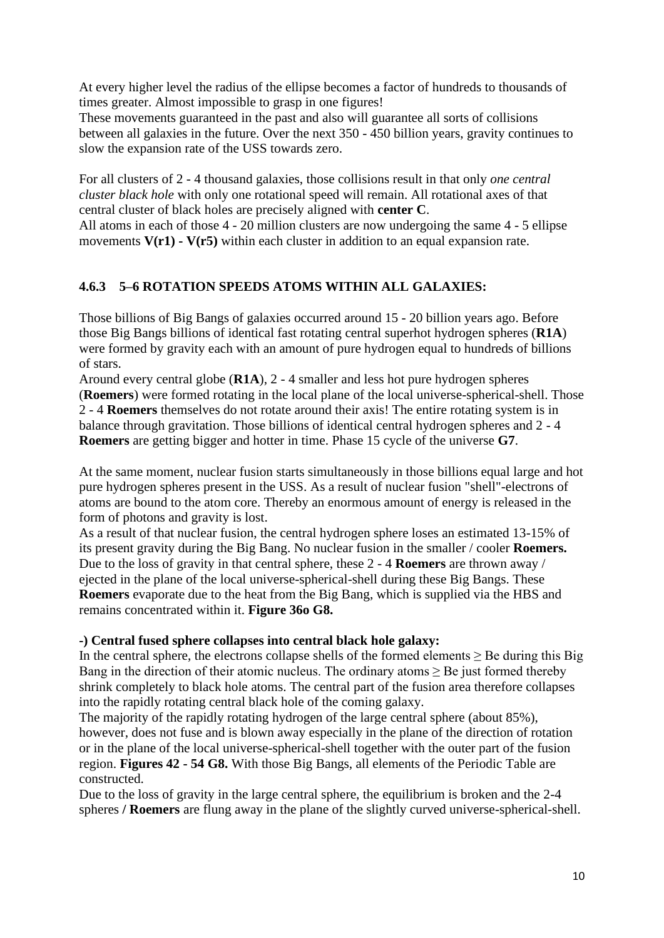At every higher level the radius of the ellipse becomes a factor of hundreds to thousands of times greater. Almost impossible to grasp in one figures!

These movements guaranteed in the past and also will guarantee all sorts of collisions between all galaxies in the future. Over the next 350 - 450 billion years, gravity continues to slow the expansion rate of the USS towards zero.

For all clusters of 2 - 4 thousand galaxies, those collisions result in that only *one central cluster black hole* with only one rotational speed will remain. All rotational axes of that central cluster of black holes are precisely aligned with **center C**.

All atoms in each of those 4 - 20 million clusters are now undergoing the same 4 - 5 ellipse movements **V(r1) - V(r5)** within each cluster in addition to an equal expansion rate.

# **4.6.3 5–6 ROTATION SPEEDS ATOMS WITHIN ALL GALAXIES:**

Those billions of Big Bangs of galaxies occurred around 15 - 20 billion years ago. Before those Big Bangs billions of identical fast rotating central superhot hydrogen spheres (**R1A**) were formed by gravity each with an amount of pure hydrogen equal to hundreds of billions of stars.

Around every central globe (**R1A**), 2 - 4 smaller and less hot pure hydrogen spheres (**Roemers**) were formed rotating in the local plane of the local universe-spherical-shell. Those 2 - 4 **Roemers** themselves do not rotate around their axis! The entire rotating system is in balance through gravitation. Those billions of identical central hydrogen spheres and 2 - 4 **Roemers** are getting bigger and hotter in time. Phase 15 cycle of the universe **G7**.

At the same moment, nuclear fusion starts simultaneously in those billions equal large and hot pure hydrogen spheres present in the USS. As a result of nuclear fusion "shell"-electrons of atoms are bound to the atom core. Thereby an enormous amount of energy is released in the form of photons and gravity is lost.

As a result of that nuclear fusion, the central hydrogen sphere loses an estimated 13-15% of its present gravity during the Big Bang. No nuclear fusion in the smaller / cooler **Roemers.** Due to the loss of gravity in that central sphere, these 2 - 4 **Roemers** are thrown away / ejected in the plane of the local universe-spherical-shell during these Big Bangs. These **Roemers** evaporate due to the heat from the Big Bang, which is supplied via the HBS and remains concentrated within it. **Figure 36o G8.**

# **-) Central fused sphere collapses into central black hole galaxy:**

In the central sphere, the electrons collapse shells of the formed elements  $\geq$  Be during this Big Bang in the direction of their atomic nucleus. The ordinary atoms > Be just formed thereby shrink completely to black hole atoms. The central part of the fusion area therefore collapses into the rapidly rotating central black hole of the coming galaxy.

The majority of the rapidly rotating hydrogen of the large central sphere (about 85%), however, does not fuse and is blown away especially in the plane of the direction of rotation or in the plane of the local universe-spherical-shell together with the outer part of the fusion region. **Figures 42 - 54 G8.** With those Big Bangs, all elements of the Periodic Table are constructed.

Due to the loss of gravity in the large central sphere, the equilibrium is broken and the 2-4 spheres **/ Roemers** are flung away in the plane of the slightly curved universe-spherical-shell.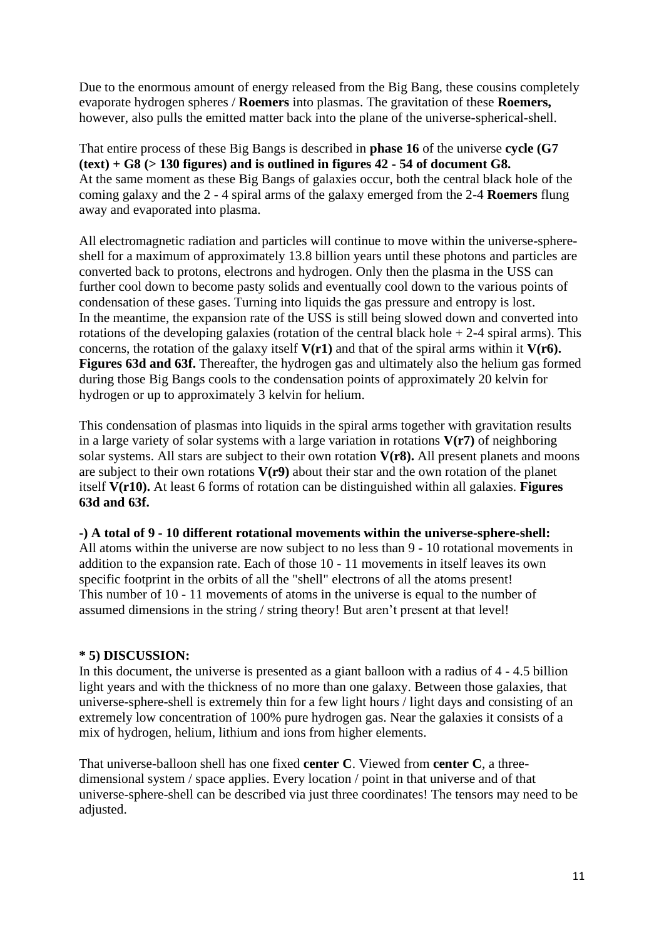Due to the enormous amount of energy released from the Big Bang, these cousins completely evaporate hydrogen spheres / **Roemers** into plasmas. The gravitation of these **Roemers,** however, also pulls the emitted matter back into the plane of the universe-spherical-shell.

That entire process of these Big Bangs is described in **phase 16** of the universe **cycle (G7 (text) + G8 (> 130 figures) and is outlined in figures 42 - 54 of document G8.** At the same moment as these Big Bangs of galaxies occur, both the central black hole of the coming galaxy and the 2 - 4 spiral arms of the galaxy emerged from the 2-4 **Roemers** flung away and evaporated into plasma.

All electromagnetic radiation and particles will continue to move within the universe-sphereshell for a maximum of approximately 13.8 billion years until these photons and particles are converted back to protons, electrons and hydrogen. Only then the plasma in the USS can further cool down to become pasty solids and eventually cool down to the various points of condensation of these gases. Turning into liquids the gas pressure and entropy is lost. In the meantime, the expansion rate of the USS is still being slowed down and converted into rotations of the developing galaxies (rotation of the central black hole  $+ 2-4$  spiral arms). This concerns, the rotation of the galaxy itself **V(r1)** and that of the spiral arms within it **V(r6). Figures 63d and 63f.** Thereafter, the hydrogen gas and ultimately also the helium gas formed during those Big Bangs cools to the condensation points of approximately 20 kelvin for hydrogen or up to approximately 3 kelvin for helium.

This condensation of plasmas into liquids in the spiral arms together with gravitation results in a large variety of solar systems with a large variation in rotations **V(r7)** of neighboring solar systems. All stars are subject to their own rotation **V(r8).** All present planets and moons are subject to their own rotations **V(r9)** about their star and the own rotation of the planet itself **V(r10).** At least 6 forms of rotation can be distinguished within all galaxies. **Figures 63d and 63f.**

**-) A total of 9 - 10 different rotational movements within the universe-sphere-shell:**

All atoms within the universe are now subject to no less than 9 - 10 rotational movements in addition to the expansion rate. Each of those 10 - 11 movements in itself leaves its own specific footprint in the orbits of all the "shell" electrons of all the atoms present! This number of 10 - 11 movements of atoms in the universe is equal to the number of assumed dimensions in the string / string theory! But aren't present at that level!

# **\* 5) DISCUSSION:**

In this document, the universe is presented as a giant balloon with a radius of 4 - 4.5 billion light years and with the thickness of no more than one galaxy. Between those galaxies, that universe-sphere-shell is extremely thin for a few light hours / light days and consisting of an extremely low concentration of 100% pure hydrogen gas. Near the galaxies it consists of a mix of hydrogen, helium, lithium and ions from higher elements.

That universe-balloon shell has one fixed **center C**. Viewed from **center C**, a threedimensional system / space applies. Every location / point in that universe and of that universe-sphere-shell can be described via just three coordinates! The tensors may need to be adjusted.